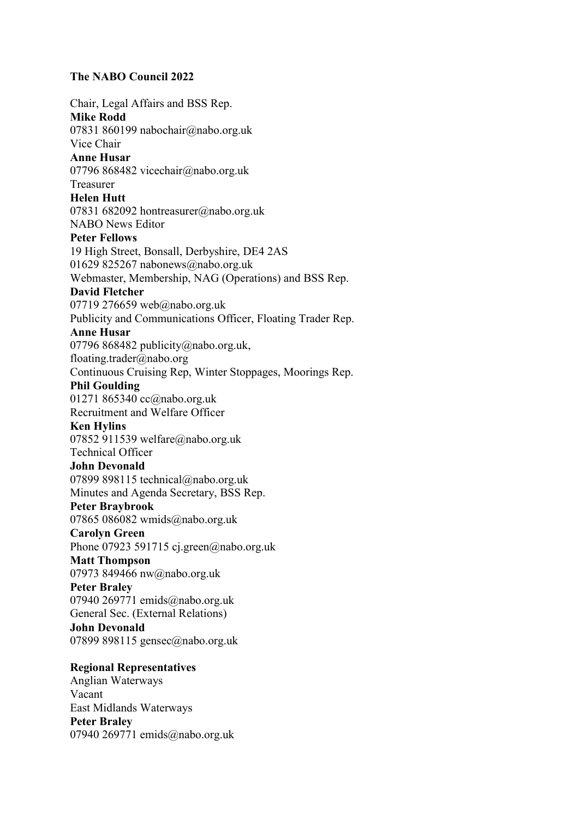## The NABO Council 2022

Chair, Legal Affairs and BSS Rep. Mike Rodd 07831 860199 nabochair@nabo.org.uk Vice Chair Anne Husar 07796 868482 vicechair@nabo.org.uk Treasurer Helen Hutt 07831 682092 hontreasurer@nabo.org.uk NABO News Editor Peter Fellows 19 High Street, Bonsall, Derbyshire, DE4 2AS 01629 825267 nabonews@nabo.org.uk Webmaster, Membership, NAG (Operations) and BSS Rep. David Fletcher 07719 276659 web@nabo.org.uk Publicity and Communications Officer, Floating Trader Rep. Anne Husar 07796 868482 publicity@nabo.org.uk, floating.trader@nabo.org Continuous Cruising Rep, Winter Stoppages, Moorings Rep. Phil Goulding 01271 865340 cc@nabo.org.uk Recruitment and Welfare Officer Ken Hylins 07852 911539 welfare@nabo.org.uk Technical Officer John Devonald 07899 898115 technical@nabo.org.uk Minutes and Agenda Secretary, BSS Rep. Peter Braybrook 07865 086082 wmids@nabo.org.uk Carolyn Green Phone 07923 591715 cj.green@nabo.org.uk Matt Thompson 07973 849466 nw@nabo.org.uk Peter Braley 07940 269771 emids@nabo.org.uk General Sec. (External Relations) John Devonald 07899 898115 gensec@nabo.org.uk Regional Representatives Anglian Waterways Vacant East Midlands Waterways

Peter Braley 07940 269771 emids@nabo.org.uk